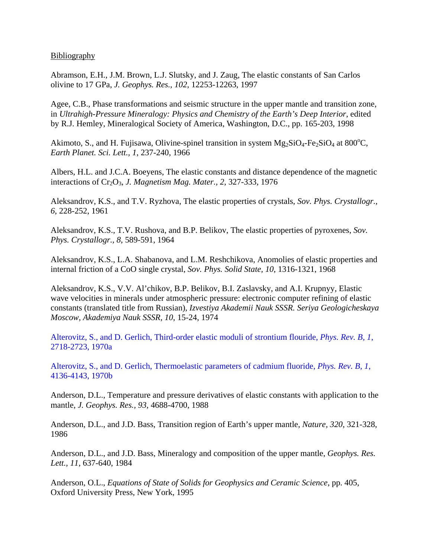**Bibliography** 

Abramson, E.H., J.M. Brown, L.J. Slutsky, and J. Zaug, The elastic constants of San Carlos olivine to 17 GPa, *J. Geophys. Res., 102*, 12253-12263, 1997

Agee, C.B., Phase transformations and seismic structure in the upper mantle and transition zone, in *Ultrahigh-Pressure Mineralogy: Physics and Chemistry of the Earth's Deep Interior*, edited by R.J. Hemley, Mineralogical Society of America, Washington, D.C., pp. 165-203, 1998

Akimoto, S., and H. Fujisawa, Olivine-spinel transition in system  $Mg_2SiO_4$ -Fe<sub>2</sub>SiO<sub>4</sub> at 800<sup>o</sup>C, *Earth Planet. Sci. Lett., 1*, 237-240, 1966

Albers, H.L. and J.C.A. Boeyens, The elastic constants and distance dependence of the magnetic interactions of Cr<sub>2</sub>O<sub>3</sub>, *J. Magnetism Mag. Mater., 2, 327-333, 1976* 

Aleksandrov, K.S., and T.V. Ryzhova, The elastic properties of crystals, *Sov. Phys. Crystallogr., 6*, 228-252, 1961

Aleksandrov, K.S., T.V. Rushova, and B.P. Belikov, The elastic properties of pyroxenes, *Sov. Phys. Crystallogr., 8*, 589-591, 1964

Aleksandrov, K.S., L.A. Shabanova, and L.M. Reshchikova, Anomolies of elastic properties and internal friction of a CoO single crystal, *Sov. Phys. Solid State, 10*, 1316-1321, 1968

Aleksandrov, K.S., V.V. Al'chikov, B.P. Belikov, B.I. Zaslavsky, and A.I. Krupnyy, Elastic wave velocities in minerals under atmospheric pressure: electronic computer refining of elastic constants (translated title from Russian), *Izvestiya Akademii Nauk SSSR. Seriya Geologicheskaya Moscow, Akademiya Nauk SSSR, 10*, 15-24, 1974

Alterovitz, S., and D. Gerlich, Third-order elastic moduli of strontium flouride, *Phys. Rev. B, 1*, 2718-2723, 1970a

Alterovitz, S., and D. Gerlich, Thermoelastic parameters of cadmium fluoride, *Phys. Rev. B, 1*, 4136-4143, 1970b

Anderson, D.L., Temperature and pressure derivatives of elastic constants with application to the mantle, *J. Geophys. Res., 93*, 4688-4700, 1988

Anderson, D.L., and J.D. Bass, Transition region of Earth's upper mantle, *Nature, 320*, 321-328, 1986

Anderson, D.L., and J.D. Bass, Mineralogy and composition of the upper mantle, *Geophys. Res. Lett., 11*, 637-640, 1984

Anderson, O.L., *Equations of State of Solids for Geophysics and Ceramic Science*, pp. 405, Oxford University Press, New York, 1995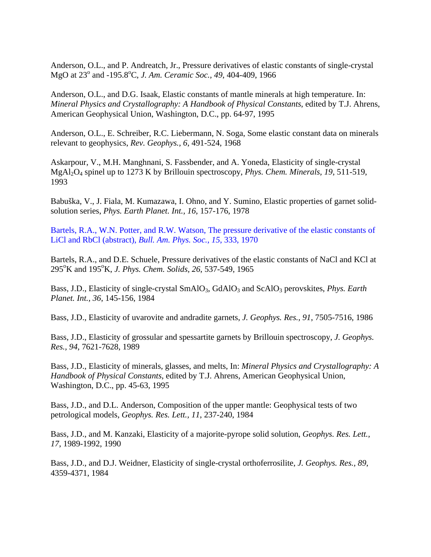Anderson, O.L., and P. Andreatch, Jr., Pressure derivatives of elastic constants of single-crystal MgO at 23<sup>°</sup> and -195.8<sup>°</sup>C, *J. Am. Ceramic Soc., 49, 404-409, 1966* 

Anderson, O.L., and D.G. Isaak, Elastic constants of mantle minerals at high temperature. In: *Mineral Physics and Crystallography: A Handbook of Physical Constants*, edited by T.J. Ahrens, American Geophysical Union, Washington, D.C., pp. 64-97, 1995

Anderson, O.L., E. Schreiber, R.C. Liebermann, N. Soga, Some elastic constant data on minerals relevant to geophysics, *Rev. Geophys., 6*, 491-524, 1968

Askarpour, V., M.H. Manghnani, S. Fassbender, and A. Yoneda, Elasticity of single-crystal MgAl2O4 spinel up to 1273 K by Brillouin spectroscopy, *Phys. Chem. Minerals, 19*, 511-519, 1993

Babuška, V., J. Fiala, M. Kumazawa, I. Ohno, and Y. Sumino, Elastic properties of garnet solidsolution series, *Phys. Earth Planet. Int., 16*, 157-176, 1978

Bartels, R.A., W.N. Potter, and R.W. Watson, The pressure derivative of the elastic constants of LiCl and RbCl (abstract), *Bull. Am. Phys. Soc., 15*, 333, 1970

Bartels, R.A., and D.E. Schuele, Pressure derivatives of the elastic constants of NaCl and KCl at 295°K and 195°K, *J. Phys. Chem. Solids*, 26, 537-549, 1965

Bass, J.D., Elasticity of single-crystal SmAlO<sub>3</sub>, GdAlO<sub>3</sub> and ScAlO<sub>3</sub> perovskites, *Phys. Earth Planet. Int., 36*, 145-156, 1984

Bass, J.D., Elasticity of uvarovite and andradite garnets, *J. Geophys. Res., 91*, 7505-7516, 1986

Bass, J.D., Elasticity of grossular and spessartite garnets by Brillouin spectroscopy, *J. Geophys. Res., 94*, 7621-7628, 1989

Bass, J.D., Elasticity of minerals, glasses, and melts, In: *Mineral Physics and Crystallography: A Handbook of Physical Constants*, edited by T.J. Ahrens, American Geophysical Union, Washington, D.C., pp. 45-63, 1995

Bass, J.D., and D.L. Anderson, Composition of the upper mantle: Geophysical tests of two petrological models, *Geophys. Res. Lett., 11*, 237-240, 1984

Bass, J.D., and M. Kanzaki, Elasticity of a majorite-pyrope solid solution, *Geophys. Res. Lett., 17*, 1989-1992, 1990

Bass, J.D., and D.J. Weidner, Elasticity of single-crystal orthoferrosilite, *J. Geophys. Res., 89*, 4359-4371, 1984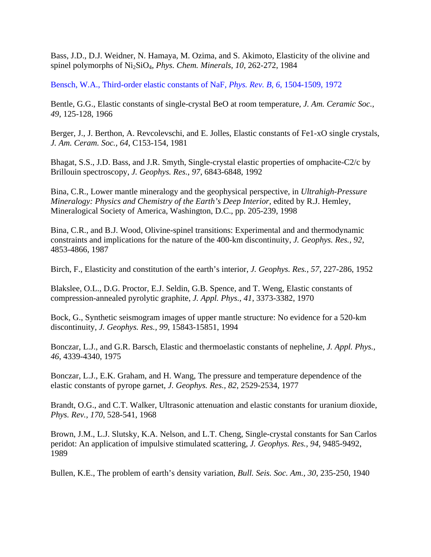Bass, J.D., D.J. Weidner, N. Hamaya, M. Ozima, and S. Akimoto, Elasticity of the olivine and spinel polymorphs of Ni2SiO4, *Phys. Chem. Minerals, 10*, 262-272, 1984

Bensch, W.A., Third-order elastic constants of NaF, *Phys. Rev. B, 6*, 1504-1509, 1972

Bentle, G.G., Elastic constants of single-crystal BeO at room temperature, *J. Am. Ceramic Soc., 49*, 125-128, 1966

Berger, J., J. Berthon, A. Revcolevschi, and E. Jolles, Elastic constants of Fe1-xO single crystals, *J. Am. Ceram. Soc., 64*, C153-154, 1981

Bhagat, S.S., J.D. Bass, and J.R. Smyth, Single-crystal elastic properties of omphacite-C2/c by Brillouin spectroscopy, *J. Geophys. Res., 97*, 6843-6848, 1992

Bina, C.R., Lower mantle mineralogy and the geophysical perspective, in *Ultrahigh-Pressure Mineralogy: Physics and Chemistry of the Earth's Deep Interior*, edited by R.J. Hemley, Mineralogical Society of America, Washington, D.C., pp. 205-239, 1998

Bina, C.R., and B.J. Wood, Olivine-spinel transitions: Experimental and and thermodynamic constraints and implications for the nature of the 400-km discontinuity, *J. Geophys. Res., 92*, 4853-4866, 1987

Birch, F., Elasticity and constitution of the earth's interior, *J. Geophys. Res., 57*, 227-286, 1952

Blakslee, O.L., D.G. Proctor, E.J. Seldin, G.B. Spence, and T. Weng, Elastic constants of compression-annealed pyrolytic graphite, *J. Appl. Phys., 41*, 3373-3382, 1970

Bock, G., Synthetic seismogram images of upper mantle structure: No evidence for a 520-km discontinuity, *J. Geophys. Res., 99*, 15843-15851, 1994

Bonczar, L.J., and G.R. Barsch, Elastic and thermoelastic constants of nepheline, *J. Appl. Phys., 46*, 4339-4340, 1975

Bonczar, L.J., E.K. Graham, and H. Wang, The pressure and temperature dependence of the elastic constants of pyrope garnet, *J. Geophys. Res., 82*, 2529-2534, 1977

Brandt, O.G., and C.T. Walker, Ultrasonic attenuation and elastic constants for uranium dioxide, *Phys. Rev., 170*, 528-541, 1968

Brown, J.M., L.J. Slutsky, K.A. Nelson, and L.T. Cheng, Single-crystal constants for San Carlos peridot: An application of impulsive stimulated scattering, *J. Geophys. Res., 94*, 9485-9492, 1989

Bullen, K.E., The problem of earth's density variation, *Bull. Seis. Soc. Am., 30*, 235-250, 1940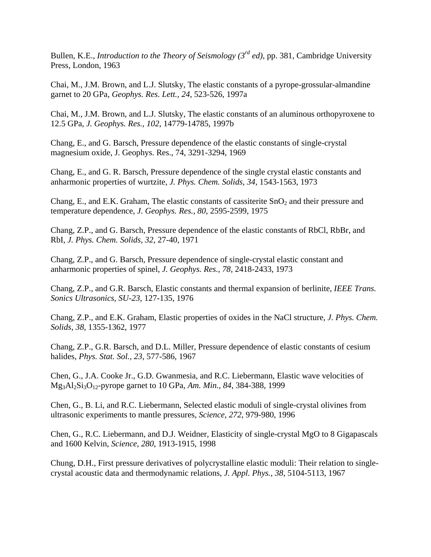Bullen, K.E., *Introduction to the Theory of Seismology (3rd ed)*, pp. 381, Cambridge University Press, London, 1963

Chai, M., J.M. Brown, and L.J. Slutsky, The elastic constants of a pyrope-grossular-almandine garnet to 20 GPa, *Geophys. Res. Lett., 24*, 523-526, 1997a

Chai, M., J.M. Brown, and L.J. Slutsky, The elastic constants of an aluminous orthopyroxene to 12.5 GPa, *J. Geophys. Res., 102*, 14779-14785, 1997b

Chang, E., and G. Barsch, Pressure dependence of the elastic constants of single-crystal magnesium oxide, J. Geophys. Res., 74, 3291-3294, 1969

Chang, E., and G. R. Barsch, Pressure dependence of the single crystal elastic constants and anharmonic properties of wurtzite, *J. Phys. Chem. Solids, 34*, 1543-1563, 1973

Chang, E., and E.K. Graham, The elastic constants of cassiterite  $SnO<sub>2</sub>$  and their pressure and temperature dependence, *J. Geophys. Res., 80*, 2595-2599, 1975

Chang, Z.P., and G. Barsch, Pressure dependence of the elastic constants of RbCl, RbBr, and RbI, *J. Phys. Chem. Solids, 32*, 27-40, 1971

Chang, Z.P., and G. Barsch, Pressure dependence of single-crystal elastic constant and anharmonic properties of spinel, *J. Geophys. Res., 78*, 2418-2433, 1973

Chang, Z.P., and G.R. Barsch, Elastic constants and thermal expansion of berlinite, *IEEE Trans. Sonics Ultrasonics, SU-23*, 127-135, 1976

Chang, Z.P., and E.K. Graham, Elastic properties of oxides in the NaCl structure, *J. Phys. Chem. Solids, 38*, 1355-1362, 1977

Chang, Z.P., G.R. Barsch, and D.L. Miller, Pressure dependence of elastic constants of cesium halides, *Phys. Stat. Sol., 23*, 577-586, 1967

Chen, G., J.A. Cooke Jr., G.D. Gwanmesia, and R.C. Liebermann, Elastic wave velocities of Mg3Al2Si3O12-pyrope garnet to 10 GPa, *Am. Min., 84*, 384-388, 1999

Chen, G., B. Li, and R.C. Liebermann, Selected elastic moduli of single-crystal olivines from ultrasonic experiments to mantle pressures, *Science, 272*, 979-980, 1996

Chen, G., R.C. Liebermann, and D.J. Weidner, Elasticity of single-crystal MgO to 8 Gigapascals and 1600 Kelvin, *Science, 280*, 1913-1915, 1998

Chung, D.H., First pressure derivatives of polycrystalline elastic moduli: Their relation to singlecrystal acoustic data and thermodynamic relations, *J. Appl. Phys., 38*, 5104-5113, 1967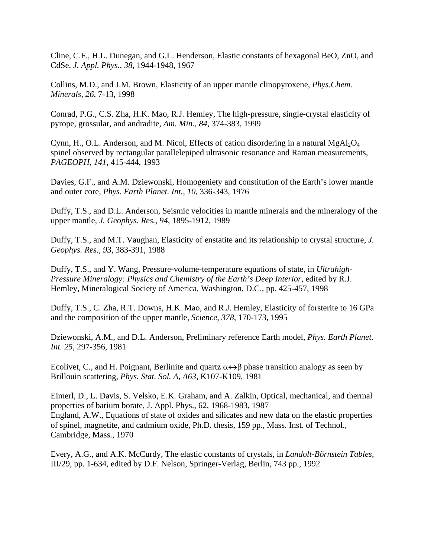Cline, C.F., H.L. Dunegan, and G.L. Henderson, Elastic constants of hexagonal BeO, ZnO, and CdSe, *J. Appl. Phys., 38*, 1944-1948, 1967

Collins, M.D., and J.M. Brown, Elasticity of an upper mantle clinopyroxene, *Phys.Chem. Minerals, 26*, 7-13, 1998

Conrad, P.G., C.S. Zha, H.K. Mao, R.J. Hemley, The high-pressure, single-crystal elasticity of pyrope, grossular, and andradite, *Am. Min., 84*, 374-383, 1999

Cynn, H., O.L. Anderson, and M. Nicol, Effects of cation disordering in a natural  $MgA<sub>2</sub>O<sub>4</sub>$ spinel observed by rectangular parallelepiped ultrasonic resonance and Raman measurements, *PAGEOPH, 141*, 415-444, 1993

Davies, G.F., and A.M. Dziewonski, Homogeniety and constitution of the Earth's lower mantle and outer core, *Phys. Earth Planet. Int., 10*, 336-343, 1976

Duffy, T.S., and D.L. Anderson, Seismic velocities in mantle minerals and the mineralogy of the upper mantle, *J. Geophys. Res., 94*, 1895-1912, 1989

Duffy, T.S., and M.T. Vaughan, Elasticity of enstatite and its relationship to crystal structure, *J. Geophys. Res., 93*, 383-391, 1988

Duffy, T.S., and Y. Wang, Pressure-volume-temperature equations of state, in *Ultrahigh-Pressure Mineralogy: Physics and Chemistry of the Earth's Deep Interior*, edited by R.J. Hemley, Mineralogical Society of America, Washington, D.C., pp. 425-457, 1998

Duffy, T.S., C. Zha, R.T. Downs, H.K. Mao, and R.J. Hemley, Elasticity of forsterite to 16 GPa and the composition of the upper mantle, *Science, 378*, 170-173, 1995

Dziewonski, A.M., and D.L. Anderson, Preliminary reference Earth model, *Phys. Earth Planet. Int. 25*, 297-356, 1981

Ecolivet, C., and H. Poignant, Berlinite and quartz  $\alpha \leftrightarrow \beta$  phase transition analogy as seen by Brillouin scattering, *Phys. Stat. Sol. A, A63*, K107-K109, 1981

Eimerl, D., L. Davis, S. Velsko, E.K. Graham, and A. Zalkin, Optical, mechanical, and thermal properties of barium borate, J. Appl. Phys., 62, 1968-1983, 1987 England, A.W., Equations of state of oxides and silicates and new data on the elastic properties of spinel, magnetite, and cadmium oxide, Ph.D. thesis, 159 pp., Mass. Inst. of Technol., Cambridge, Mass., 1970

Every, A.G., and A.K. McCurdy, The elastic constants of crystals, in *Landolt-Börnstein Tables*, III/29, pp. 1-634, edited by D.F. Nelson, Springer-Verlag, Berlin, 743 pp., 1992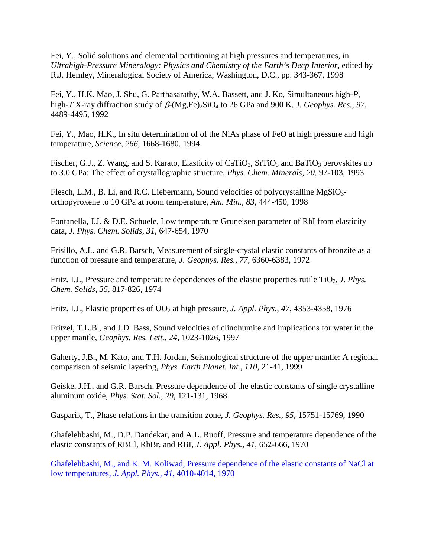Fei, Y., Solid solutions and elemental partitioning at high pressures and temperatures, in *Ultrahigh-Pressure Mineralogy: Physics and Chemistry of the Earth's Deep Interior*, edited by R.J. Hemley, Mineralogical Society of America, Washington, D.C., pp. 343-367, 1998

Fei, Y., H.K. Mao, J. Shu, G. Parthasarathy, W.A. Bassett, and J. Ko, Simultaneous high-*P*, high-*T* X-ray diffraction study of  $\beta$ -(Mg,Fe)<sub>2</sub>SiO<sub>4</sub> to 26 GPa and 900 K, *J. Geophys. Res., 97*, 4489-4495, 1992

Fei, Y., Mao, H.K., In situ determination of of the NiAs phase of FeO at high pressure and high temperature, *Science, 266*, 1668-1680, 1994

Fischer, G.J., Z. Wang, and S. Karato, Elasticity of CaTiO<sub>3</sub>, SrTiO<sub>3</sub> and BaTiO<sub>3</sub> perovskites up to 3.0 GPa: The effect of crystallographic structure, *Phys. Chem. Minerals, 20*, 97-103, 1993

Flesch, L.M., B. Li, and R.C. Liebermann, Sound velocities of polycrystalline MgSiO3 orthopyroxene to 10 GPa at room temperature, *Am. Min., 83*, 444-450, 1998

Fontanella, J.J. & D.E. Schuele, Low temperature Gruneisen parameter of RbI from elasticity data, *J. Phys. Chem. Solids, 31*, 647-654, 1970

Frisillo, A.L. and G.R. Barsch, Measurement of single-crystal elastic constants of bronzite as a function of pressure and temperature, *J. Geophys. Res., 77*, 6360-6383, 1972

Fritz, I.J., Pressure and temperature dependences of the elastic properties rutile TiO<sub>2</sub>, *J. Phys. Chem. Solids, 35*, 817-826, 1974

Fritz, I.J., Elastic properties of UO<sub>2</sub> at high pressure, *J. Appl. Phys., 47, 4353-4358, 1976* 

Fritzel, T.L.B., and J.D. Bass, Sound velocities of clinohumite and implications for water in the upper mantle, *Geophys. Res. Lett., 24*, 1023-1026, 1997

Gaherty, J.B., M. Kato, and T.H. Jordan, Seismological structure of the upper mantle: A regional comparison of seismic layering, *Phys. Earth Planet. Int., 110*, 21-41, 1999

Geiske, J.H., and G.R. Barsch, Pressure dependence of the elastic constants of single crystalline aluminum oxide, *Phys. Stat. Sol., 29*, 121-131, 1968

Gasparik, T., Phase relations in the transition zone, *J. Geophys. Res., 95*, 15751-15769, 1990

Ghafelehbashi, M., D.P. Dandekar, and A.L. Ruoff, Pressure and temperature dependence of the elastic constants of RBCl, RbBr, and RBI, *J. Appl. Phys., 41*, 652-666, 1970

Ghafelehbashi, M., and K. M. Koliwad, Pressure dependence of the elastic constants of NaCl at low temperatures, *J. Appl. Phys., 41*, 4010-4014, 1970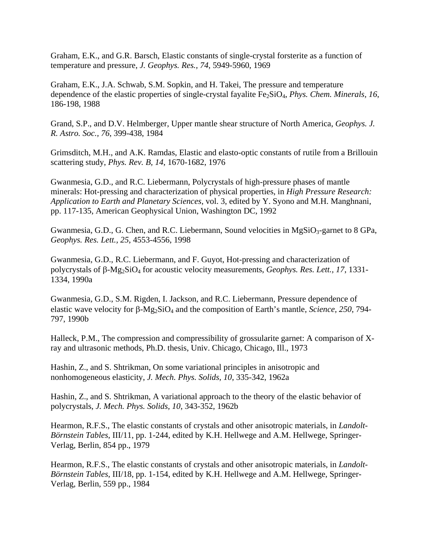Graham, E.K., and G.R. Barsch, Elastic constants of single-crystal forsterite as a function of temperature and pressure, *J. Geophys. Res., 74*, 5949-5960, 1969

Graham, E.K., J.A. Schwab, S.M. Sopkin, and H. Takei, The pressure and temperature dependence of the elastic properties of single-crystal fayalite Fe<sub>2</sub>SiO<sub>4</sub>, *Phys. Chem. Minerals, 16*, 186-198, 1988

Grand, S.P., and D.V. Helmberger, Upper mantle shear structure of North America, *Geophys. J. R. Astro. Soc., 76*, 399-438, 1984

Grimsditch, M.H., and A.K. Ramdas, Elastic and elasto-optic constants of rutile from a Brillouin scattering study, *Phys. Rev. B, 14*, 1670-1682, 1976

Gwanmesia, G.D., and R.C. Liebermann, Polycrystals of high-pressure phases of mantle minerals: Hot-pressing and characterization of physical properties, in *High Pressure Research: Application to Earth and Planetary Sciences*, vol. 3, edited by Y. Syono and M.H. Manghnani, pp. 117-135, American Geophysical Union, Washington DC, 1992

Gwanmesia, G.D., G. Chen, and R.C. Liebermann, Sound velocities in  $MgSiO<sub>3</sub>$ -garnet to 8 GPa, *Geophys. Res. Lett., 25*, 4553-4556, 1998

Gwanmesia, G.D., R.C. Liebermann, and F. Guyot, Hot-pressing and characterization of polycrystals of β-Mg<sub>2</sub>SiO<sub>4</sub> for acoustic velocity measurements, *Geophys. Res. Lett., 17*, 1331-1334, 1990a

Gwanmesia, G.D., S.M. Rigden, I. Jackson, and R.C. Liebermann, Pressure dependence of elastic wave velocity for  $\beta$ -Mg<sub>2</sub>SiO<sub>4</sub> and the composition of Earth's mantle, *Science*, 250, 794-797, 1990b

Halleck, P.M., The compression and compressibility of grossularite garnet: A comparison of Xray and ultrasonic methods, Ph.D. thesis, Univ. Chicago, Chicago, Ill., 1973

Hashin, Z., and S. Shtrikman, On some variational principles in anisotropic and nonhomogeneous elasticity, *J. Mech. Phys. Solids, 10*, 335-342, 1962a

Hashin, Z., and S. Shtrikman, A variational approach to the theory of the elastic behavior of polycrystals, *J. Mech. Phys. Solids, 10*, 343-352, 1962b

Hearmon, R.F.S., The elastic constants of crystals and other anisotropic materials, in *Landolt-Börnstein Tables*, III/11, pp. 1-244, edited by K.H. Hellwege and A.M. Hellwege, Springer-Verlag, Berlin, 854 pp., 1979

Hearmon, R.F.S., The elastic constants of crystals and other anisotropic materials, in *Landolt-Börnstein Tables*, III/18, pp. 1-154, edited by K.H. Hellwege and A.M. Hellwege, Springer-Verlag, Berlin, 559 pp., 1984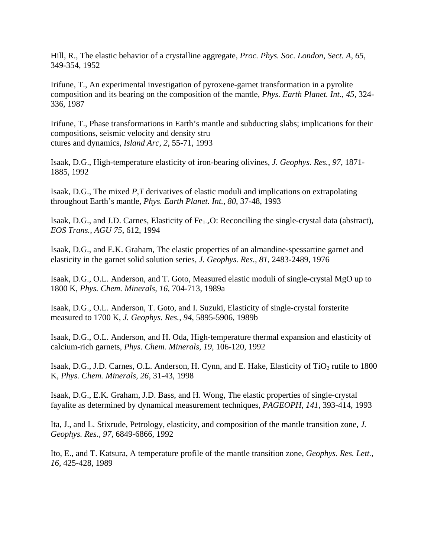Hill, R., The elastic behavior of a crystalline aggregate, *Proc. Phys. Soc. London, Sect. A, 65*, 349-354, 1952

Irifune, T., An experimental investigation of pyroxene-garnet transformation in a pyrolite composition and its bearing on the composition of the mantle, *Phys. Earth Planet. Int., 45*, 324- 336, 1987

Irifune, T., Phase transformations in Earth's mantle and subducting slabs; implications for their compositions, seismic velocity and density stru ctures and dynamics, *Island Arc, 2*, 55-71, 1993

Isaak, D.G., High-temperature elasticity of iron-bearing olivines, *J. Geophys. Res., 97*, 1871- 1885, 1992

Isaak, D.G., The mixed *P,T* derivatives of elastic moduli and implications on extrapolating throughout Earth's mantle, *Phys. Earth Planet. Int., 80*, 37-48, 1993

Isaak, D.G., and J.D. Carnes, Elasticity of Fe1-*x*O: Reconciling the single-crystal data (abstract), *EOS Trans., AGU 75*, 612, 1994

Isaak, D.G., and E.K. Graham, The elastic properties of an almandine-spessartine garnet and elasticity in the garnet solid solution series, *J. Geophys. Res., 81*, 2483-2489, 1976

Isaak, D.G., O.L. Anderson, and T. Goto, Measured elastic moduli of single-crystal MgO up to 1800 K, *Phys. Chem. Minerals, 16*, 704-713, 1989a

Isaak, D.G., O.L. Anderson, T. Goto, and I. Suzuki, Elasticity of single-crystal forsterite measured to 1700 K, *J. Geophys. Res., 94*, 5895-5906, 1989b

Isaak, D.G., O.L. Anderson, and H. Oda, High-temperature thermal expansion and elasticity of calcium-rich garnets, *Phys. Chem. Minerals, 19*, 106-120, 1992

Isaak, D.G., J.D. Carnes, O.L. Anderson, H. Cynn, and E. Hake, Elasticity of TiO<sub>2</sub> rutile to 1800 K, *Phys. Chem. Minerals, 26*, 31-43, 1998

Isaak, D.G., E.K. Graham, J.D. Bass, and H. Wong, The elastic properties of single-crystal fayalite as determined by dynamical measurement techniques, *PAGEOPH, 141*, 393-414, 1993

Ita, J., and L. Stixrude, Petrology, elasticity, and composition of the mantle transition zone, *J. Geophys. Res., 97*, 6849-6866, 1992

Ito, E., and T. Katsura, A temperature profile of the mantle transition zone, *Geophys. Res. Lett., 16*, 425-428, 1989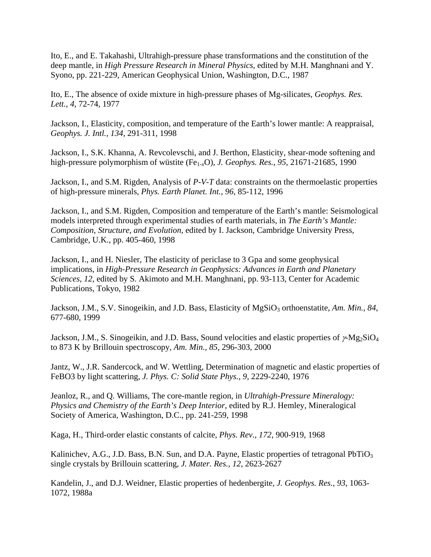Ito, E., and E. Takahashi, Ultrahigh-pressure phase transformations and the constitution of the deep mantle, in *High Pressure Research in Mineral Physics*, edited by M.H. Manghnani and Y. Syono, pp. 221-229, American Geophysical Union, Washington, D.C., 1987

Ito, E., The absence of oxide mixture in high-pressure phases of Mg-silicates, *Geophys. Res. Lett., 4*, 72-74, 1977

Jackson, I., Elasticity, composition, and temperature of the Earth's lower mantle: A reappraisal, *Geophys. J. Intl., 134*, 291-311, 1998

Jackson, I., S.K. Khanna, A. Revcolevschi, and J. Berthon, Elasticity, shear-mode softening and high-pressure polymorphism of wüstite (Fe<sub>1-x</sub>O), *J. Geophys. Res., 95*, 21671-21685, 1990

Jackson, I., and S.M. Rigden, Analysis of *P*-*V*-*T* data: constraints on the thermoelastic properties of high-pressure minerals, *Phys. Earth Planet. Int., 96*, 85-112, 1996

Jackson, I., and S.M. Rigden, Composition and temperature of the Earth's mantle: Seismological models interpreted through experimental studies of earth materials, in *The Earth's Mantle: Composition, Structure, and Evolution*, edited by I. Jackson, Cambridge University Press, Cambridge, U.K., pp. 405-460, 1998

Jackson, I., and H. Niesler, The elasticity of periclase to 3 Gpa and some geophysical implications, in *High-Pressure Research in Geophysics: Advances in Earth and Planetary Sciences, 12*, edited by S. Akimoto and M.H. Manghnani, pp. 93-113, Center for Academic Publications, Tokyo, 1982

Jackson, J.M., S.V. Sinogeikin, and J.D. Bass, Elasticity of MgSiO<sub>3</sub> orthoenstatite, *Am. Min.*, 84, 677-680, 1999

Jackson, J.M., S. Sinogeikin, and J.D. Bass, Sound velocities and elastic properties of  $\gamma Mg_2SiO_4$ to 873 K by Brillouin spectroscopy, *Am. Min., 85*, 296-303, 2000

Jantz, W., J.R. Sandercock, and W. Wettling, Determination of magnetic and elastic properties of FeBO3 by light scattering, *J. Phys. C: Solid State Phys., 9*, 2229-2240, 1976

Jeanloz, R., and Q. Williams, The core-mantle region, in *Ultrahigh-Pressure Mineralogy: Physics and Chemistry of the Earth's Deep Interior*, edited by R.J. Hemley, Mineralogical Society of America, Washington, D.C., pp. 241-259, 1998

Kaga, H., Third-order elastic constants of calcite, *Phys. Rev., 172*, 900-919, 1968

Kalinichev, A.G., J.D. Bass, B.N. Sun, and D.A. Payne, Elastic properties of tetragonal PbTiO<sub>3</sub> single crystals by Brillouin scattering, *J. Mater. Res., 12*, 2623-2627

Kandelin, J., and D.J. Weidner, Elastic properties of hedenbergite, *J. Geophys. Res., 93*, 1063- 1072, 1988a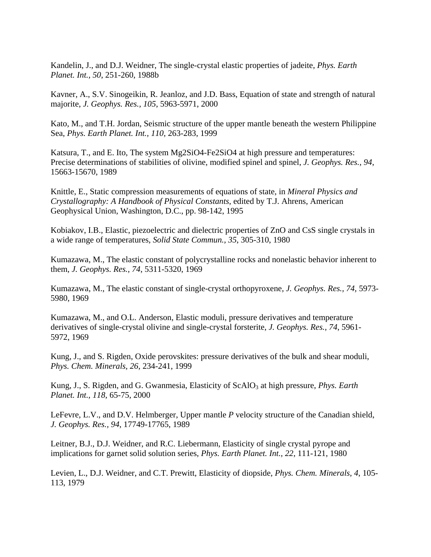Kandelin, J., and D.J. Weidner, The single-crystal elastic properties of jadeite, *Phys. Earth Planet. Int., 50*, 251-260, 1988b

Kavner, A., S.V. Sinogeikin, R. Jeanloz, and J.D. Bass, Equation of state and strength of natural majorite, *J. Geophys. Res., 105*, 5963-5971, 2000

Kato, M., and T.H. Jordan, Seismic structure of the upper mantle beneath the western Philippine Sea, *Phys. Earth Planet. Int., 110*, 263-283, 1999

Katsura, T., and E. Ito, The system Mg2SiO4-Fe2SiO4 at high pressure and temperatures: Precise determinations of stabilities of olivine, modified spinel and spinel, *J. Geophys. Res., 94*, 15663-15670, 1989

Knittle, E., Static compression measurements of equations of state, in *Mineral Physics and Crystallography: A Handbook of Physical Constants*, edited by T.J. Ahrens, American Geophysical Union, Washington, D.C., pp. 98-142, 1995

Kobiakov, I.B., Elastic, piezoelectric and dielectric properties of ZnO and CsS single crystals in a wide range of temperatures, *Solid State Commun., 35*, 305-310, 1980

Kumazawa, M., The elastic constant of polycrystalline rocks and nonelastic behavior inherent to them, *J. Geophys. Res., 74*, 5311-5320, 1969

Kumazawa, M., The elastic constant of single-crystal orthopyroxene, *J. Geophys. Res., 74*, 5973- 5980, 1969

Kumazawa, M., and O.L. Anderson, Elastic moduli, pressure derivatives and temperature derivatives of single-crystal olivine and single-crystal forsterite, *J. Geophys. Res., 74*, 5961- 5972, 1969

Kung, J., and S. Rigden, Oxide perovskites: pressure derivatives of the bulk and shear moduli, *Phys. Chem. Minerals, 26*, 234-241, 1999

Kung, J., S. Rigden, and G. Gwanmesia, Elasticity of ScAlO<sub>3</sub> at high pressure, *Phys. Earth Planet. Int., 118*, 65-75, 2000

LeFevre, L.V., and D.V. Helmberger, Upper mantle *P* velocity structure of the Canadian shield, *J. Geophys. Res., 94*, 17749-17765, 1989

Leitner, B.J., D.J. Weidner, and R.C. Liebermann, Elasticity of single crystal pyrope and implications for garnet solid solution series, *Phys. Earth Planet. Int., 22*, 111-121, 1980

Levien, L., D.J. Weidner, and C.T. Prewitt, Elasticity of diopside, *Phys. Chem. Minerals, 4*, 105- 113, 1979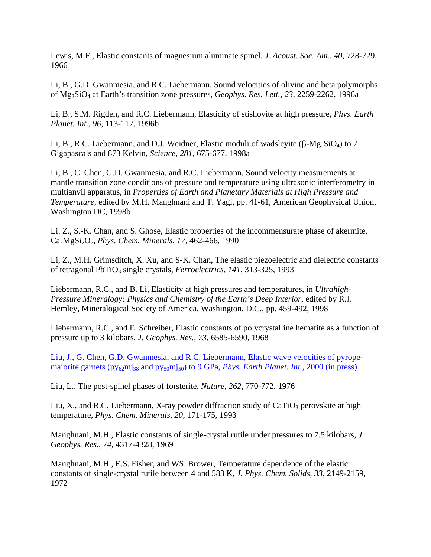Lewis, M.F., Elastic constants of magnesium aluminate spinel, *J. Acoust. Soc. Am., 40*, 728-729, 1966

Li, B., G.D. Gwanmesia, and R.C. Liebermann, Sound velocities of olivine and beta polymorphs of Mg2SiO4 at Earth's transition zone pressures, *Geophys. Res. Lett., 23*, 2259-2262, 1996a

Li, B., S.M. Rigden, and R.C. Liebermann, Elasticity of stishovite at high pressure, *Phys. Earth Planet. Int., 96*, 113-117, 1996b

Li, B., R.C. Liebermann, and D.J. Weidner, Elastic moduli of wadsleyite  $(\beta-Mg_2SiO_4)$  to 7 Gigapascals and 873 Kelvin, *Science, 281*, 675-677, 1998a

Li, B., C. Chen, G.D. Gwanmesia, and R.C. Liebermann, Sound velocity measurements at mantle transition zone conditions of pressure and temperature using ultrasonic interferometry in multianvil apparatus, in *Properties of Earth and Planetary Materials at High Pressure and Temperature*, edited by M.H. Manghnani and T. Yagi, pp. 41-61, American Geophysical Union, Washington DC, 1998b

Li. Z., S.-K. Chan, and S. Ghose, Elastic properties of the incommensurate phase of akermite, Ca2MgSi2O7, *Phys. Chem. Minerals, 17*, 462-466, 1990

Li, Z., M.H. Grimsditch, X. Xu, and S-K. Chan, The elastic piezoelectric and dielectric constants of tetragonal PbTiO3 single crystals, *Ferroelectrics, 141*, 313-325, 1993

Liebermann, R.C., and B. Li, Elasticity at high pressures and temperatures, in *Ultrahigh-Pressure Mineralogy: Physics and Chemistry of the Earth's Deep Interior*, edited by R.J. Hemley, Mineralogical Society of America, Washington, D.C., pp. 459-492, 1998

Liebermann, R.C., and E. Schreiber, Elastic constants of polycrystalline hematite as a function of pressure up to 3 kilobars, *J. Geophys. Res., 73*, 6585-6590, 1968

Liu, J., G. Chen, G.D. Gwanmesia, and R.C. Liebermann, Elastic wave velocities of pyropemajorite garnets (py<sub>62</sub>mj<sub>38</sub> and py<sub>50</sub>mj<sub>50</sub>) to 9 GPa, *Phys. Earth Planet. Int.*, 2000 (in press)

Liu, L., The post-spinel phases of forsterite, *Nature, 262*, 770-772, 1976

Liu, X., and R.C. Liebermann, X-ray powder diffraction study of  $CaTiO<sub>3</sub>$  perovskite at high temperature, *Phys. Chem. Minerals, 20*, 171-175, 1993

Manghnani, M.H., Elastic constants of single-crystal rutile under pressures to 7.5 kilobars, *J. Geophys. Res., 74*, 4317-4328, 1969

Manghnani, M.H., E.S. Fisher, and WS. Brower, Temperature dependence of the elastic constants of single-crystal rutile between 4 and 583 K, *J. Phys. Chem. Solids, 33*, 2149-2159, 1972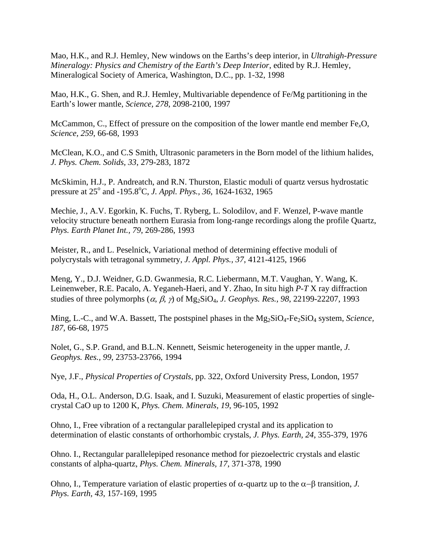Mao, H.K., and R.J. Hemley, New windows on the Earths's deep interior, in *Ultrahigh-Pressure Mineralogy: Physics and Chemistry of the Earth's Deep Interior*, edited by R.J. Hemley, Mineralogical Society of America, Washington, D.C., pp. 1-32, 1998

Mao, H.K., G. Shen, and R.J. Hemley, Multivariable dependence of Fe/Mg partitioning in the Earth's lower mantle, *Science, 278*, 2098-2100, 1997

McCammon, C., Effect of pressure on the composition of the lower mantle end member Fe*x*O, *Science, 259*, 66-68, 1993

McClean, K.O., and C.S Smith, Ultrasonic parameters in the Born model of the lithium halides, *J. Phys. Chem. Solids, 33*, 279-283, 1872

McSkimin, H.J., P. Andreatch, and R.N. Thurston, Elastic moduli of quartz versus hydrostatic pressure at 25<sup>°</sup> and -195.8<sup>°</sup>C, *J. Appl. Phys., 36*, 1624-1632, 1965

Mechie, J., A.V. Egorkin, K. Fuchs, T. Ryberg, L. Solodilov, and F. Wenzel, P-wave mantle velocity structure beneath northern Eurasia from long-range recordings along the profile Quartz, *Phys. Earth Planet Int., 79*, 269-286, 1993

Meister, R., and L. Peselnick, Variational method of determining effective moduli of polycrystals with tetragonal symmetry, *J. Appl. Phys., 37*, 4121-4125, 1966

Meng, Y., D.J. Weidner, G.D. Gwanmesia, R.C. Liebermann, M.T. Vaughan, Y. Wang, K. Leinenweber, R.E. Pacalo, A. Yeganeh-Haeri, and Y. Zhao, In situ high *P*-*T* X ray diffraction studies of three polymorphs  $(a, \beta, \gamma)$  of Mg<sub>2</sub>SiO<sub>4</sub>, *J. Geophys. Res.*, 98, 22199-22207, 1993

Ming, L.-C., and W.A. Bassett, The postspinel phases in the Mg<sub>2</sub>SiO<sub>4</sub>-Fe<sub>2</sub>SiO<sub>4</sub> system, *Science*, *187*, 66-68, 1975

Nolet, G., S.P. Grand, and B.L.N. Kennett, Seismic heterogeneity in the upper mantle, *J. Geophys. Res., 99*, 23753-23766, 1994

Nye, J.F., *Physical Properties of Crystals*, pp. 322, Oxford University Press, London, 1957

Oda, H., O.L. Anderson, D.G. Isaak, and I. Suzuki, Measurement of elastic properties of singlecrystal CaO up to 1200 K, *Phys. Chem. Minerals, 19*, 96-105, 1992

Ohno, I., Free vibration of a rectangular parallelepiped crystal and its application to determination of elastic constants of orthorhombic crystals, *J. Phys. Earth, 24*, 355-379, 1976

Ohno. I., Rectangular parallelepiped resonance method for piezoelectric crystals and elastic constants of alpha-quartz, *Phys. Chem. Minerals, 17*, 371-378, 1990

Ohno, I., Temperature variation of elastic properties of  $\alpha$ -quartz up to the  $\alpha$ - $\beta$  transition, *J. Phys. Earth, 43*, 157-169, 1995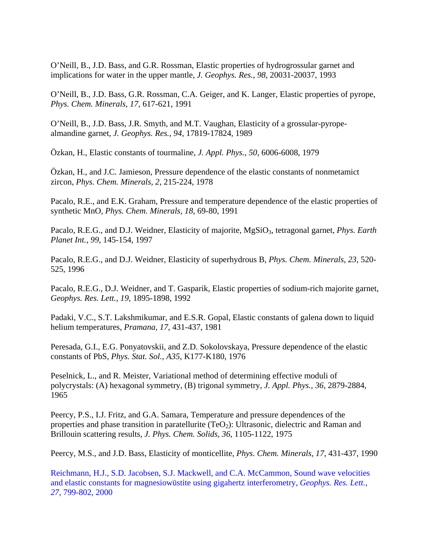O'Neill, B., J.D. Bass, and G.R. Rossman, Elastic properties of hydrogrossular garnet and implications for water in the upper mantle, *J. Geophys. Res., 98*, 20031-20037, 1993

O'Neill, B., J.D. Bass, G.R. Rossman, C.A. Geiger, and K. Langer, Elastic properties of pyrope, *Phys. Chem. Minerals, 17*, 617-621, 1991

O'Neill, B., J.D. Bass, J.R. Smyth, and M.T. Vaughan, Elasticity of a grossular-pyropealmandine garnet, *J. Geophys. Res., 94*, 17819-17824, 1989

Özkan, H., Elastic constants of tourmaline, *J. Appl. Phys., 50*, 6006-6008, 1979

Özkan, H., and J.C. Jamieson, Pressure dependence of the elastic constants of nonmetamict zircon, *Phys. Chem. Minerals, 2*, 215-224, 1978

Pacalo, R.E., and E.K. Graham, Pressure and temperature dependence of the elastic properties of synthetic MnO, *Phys. Chem. Minerals, 18*, 69-80, 1991

Pacalo, R.E.G., and D.J. Weidner, Elasticity of majorite, MgSiO<sub>3</sub>, tetragonal garnet, *Phys. Earth Planet Int., 99*, 145-154, 1997

Pacalo, R.E.G., and D.J. Weidner, Elasticity of superhydrous B, *Phys. Chem. Minerals, 23*, 520- 525, 1996

Pacalo, R.E.G., D.J. Weidner, and T. Gasparik, Elastic properties of sodium-rich majorite garnet, *Geophys. Res. Lett., 19*, 1895-1898, 1992

Padaki, V.C., S.T. Lakshmikumar, and E.S.R. Gopal, Elastic constants of galena down to liquid helium temperatures, *Pramana, 17*, 431-437, 1981

Peresada, G.I., E.G. Ponyatovskii, and Z.D. Sokolovskaya, Pressure dependence of the elastic constants of PbS, *Phys. Stat. Sol., A35*, K177-K180, 1976

Peselnick, L., and R. Meister, Variational method of determining effective moduli of polycrystals: (A) hexagonal symmetry, (B) trigonal symmetry, *J. Appl. Phys., 36*, 2879-2884, 1965

Peercy, P.S., I.J. Fritz, and G.A. Samara, Temperature and pressure dependences of the properties and phase transition in paratellurite (TeO<sub>2</sub>): Ultrasonic, dielectric and Raman and Brillouin scattering results, *J. Phys. Chem. Solids, 36*, 1105-1122, 1975

Peercy, M.S., and J.D. Bass, Elasticity of monticellite, *Phys. Chem. Minerals, 17*, 431-437, 1990

Reichmann, H.J., S.D. Jacobsen, S.J. Mackwell, and C.A. McCammon, Sound wave velocities and elastic constants for magnesiowüstite using gigahertz interferometry, *Geophys. Res. Lett., 27*, 799-802, 2000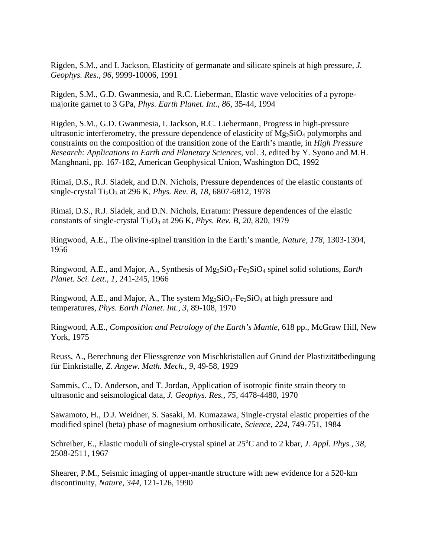Rigden, S.M., and I. Jackson, Elasticity of germanate and silicate spinels at high pressure, *J. Geophys. Res., 96*, 9999-10006, 1991

Rigden, S.M., G.D. Gwanmesia, and R.C. Lieberman, Elastic wave velocities of a pyropemajorite garnet to 3 GPa, *Phys. Earth Planet. Int., 86*, 35-44, 1994

Rigden, S.M., G.D. Gwanmesia, I. Jackson, R.C. Liebermann, Progress in high-pressure ultrasonic interferometry, the pressure dependence of elasticity of  $Mg_2SiO_4$  polymorphs and constraints on the composition of the transition zone of the Earth's mantle, in *High Pressure Research: Applications to Earth and Planetary Sciences*, vol. 3, edited by Y. Syono and M.H. Manghnani, pp. 167-182, American Geophysical Union, Washington DC, 1992

Rimai, D.S., R.J. Sladek, and D.N. Nichols, Pressure dependences of the elastic constants of single-crystal Ti2O3 at 296 K, *Phys. Rev. B, 18*, 6807-6812, 1978

Rimai, D.S., R.J. Sladek, and D.N. Nichols, Erratum: Pressure dependences of the elastic constants of single-crystal Ti<sub>2</sub>O<sub>3</sub> at 296 K, *Phys. Rev. B, 20*, 820, 1979

Ringwood, A.E., The olivine-spinel transition in the Earth's mantle, *Nature, 178*, 1303-1304, 1956

Ringwood, A.E., and Major, A., Synthesis of Mg2SiO4-Fe2SiO4 spinel solid solutions, *Earth Planet. Sci. Lett., 1*, 241-245, 1966

Ringwood, A.E., and Major, A., The system  $Mg_2SiO_4$ -Fe<sub>2</sub>SiO<sub>4</sub> at high pressure and temperatures, *Phys. Earth Planet. Int., 3*, 89-108, 1970

Ringwood, A.E., *Composition and Petrology of the Earth's Mantle*, 618 pp., McGraw Hill, New York, 1975

Reuss, A., Berechnung der Fliessgrenze von Mischkristallen auf Grund der Plastizitätbedingung für Einkristalle, *Z. Angew. Math. Mech., 9*, 49-58, 1929

Sammis, C., D. Anderson, and T. Jordan, Application of isotropic finite strain theory to ultrasonic and seismological data, *J. Geophys. Res., 75*, 4478-4480, 1970

Sawamoto, H., D.J. Weidner, S. Sasaki, M. Kumazawa, Single-crystal elastic properties of the modified spinel (beta) phase of magnesium orthosilicate, *Science, 224*, 749-751, 1984

Schreiber, E., Elastic moduli of single-crystal spinel at 25<sup>o</sup>C and to 2 kbar, *J. Appl. Phys.*, 38, 2508-2511, 1967

Shearer, P.M., Seismic imaging of upper-mantle structure with new evidence for a 520-km discontinuity, *Nature, 344*, 121-126, 1990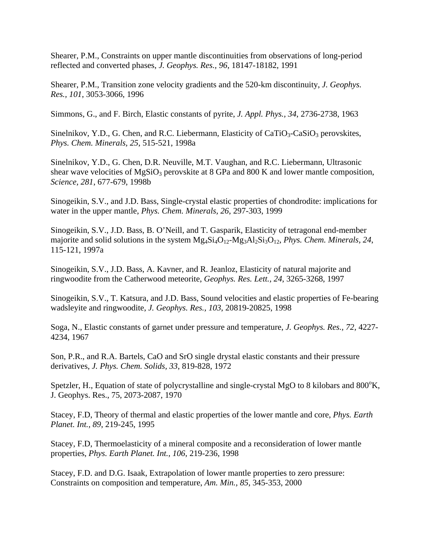Shearer, P.M., Constraints on upper mantle discontinuities from observations of long-period reflected and converted phases, *J. Geophys. Res., 96*, 18147-18182, 1991

Shearer, P.M., Transition zone velocity gradients and the 520-km discontinuity, *J. Geophys. Res., 101*, 3053-3066, 1996

Simmons, G., and F. Birch, Elastic constants of pyrite, *J. Appl. Phys., 34*, 2736-2738, 1963

Sinelnikov, Y.D., G. Chen, and R.C. Liebermann, Elasticity of  $CaTiO<sub>3</sub>-CaSiO<sub>3</sub>$  perovskites, *Phys. Chem. Minerals, 25*, 515-521, 1998a

Sinelnikov, Y.D., G. Chen, D.R. Neuville, M.T. Vaughan, and R.C. Liebermann, Ultrasonic shear wave velocities of  $MgSiO<sub>3</sub>$  perovskite at 8 GPa and 800 K and lower mantle composition, *Science, 281*, 677-679, 1998b

Sinogeikin, S.V., and J.D. Bass, Single-crystal elastic properties of chondrodite: implications for water in the upper mantle, *Phys. Chem. Minerals, 26*, 297-303, 1999

Sinogeikin, S.V., J.D. Bass, B. O'Neill, and T. Gasparik, Elasticity of tetragonal end-member majorite and solid solutions in the system  $Mg_4Si_4O_{12}$ - $Mg_3Al_2Si_3O_{12}$ , *Phys. Chem. Minerals, 24*, 115-121, 1997a

Sinogeikin, S.V., J.D. Bass, A. Kavner, and R. Jeanloz, Elasticity of natural majorite and ringwoodite from the Catherwood meteorite, *Geophys. Res. Lett., 24*, 3265-3268, 1997

Sinogeikin, S.V., T. Katsura, and J.D. Bass, Sound velocities and elastic properties of Fe-bearing wadsleyite and ringwoodite, *J. Geophys. Res., 103*, 20819-20825, 1998

Soga, N., Elastic constants of garnet under pressure and temperature, *J. Geophys. Res., 72*, 4227- 4234, 1967

Son, P.R., and R.A. Bartels, CaO and SrO single drystal elastic constants and their pressure derivatives, *J. Phys. Chem. Solids, 33*, 819-828, 1972

Spetzler, H., Equation of state of polycrystalline and single-crystal MgO to 8 kilobars and 800°K, J. Geophys. Res., 75, 2073-2087, 1970

Stacey, F.D, Theory of thermal and elastic properties of the lower mantle and core, *Phys. Earth Planet. Int., 89*, 219-245, 1995

Stacey, F.D, Thermoelasticity of a mineral composite and a reconsideration of lower mantle properties, *Phys. Earth Planet. Int., 106*, 219-236, 1998

Stacey, F.D. and D.G. Isaak, Extrapolation of lower mantle properties to zero pressure: Constraints on composition and temperature, *Am. Min., 85*, 345-353, 2000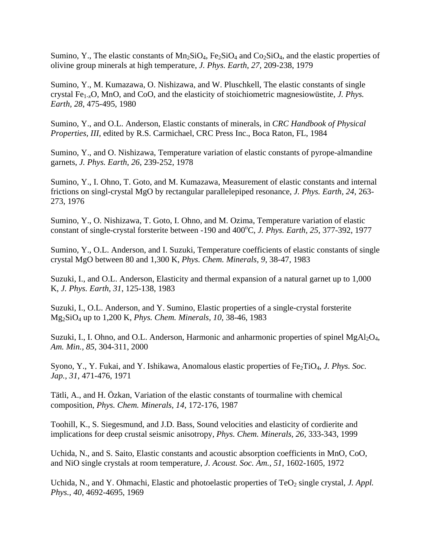Sumino, Y., The elastic constants of  $Mn_2SiO_4$ ,  $Fe_2SiO_4$  and  $Co_2SiO_4$ , and the elastic properties of olivine group minerals at high temperature, *J. Phys. Earth, 27*, 209-238, 1979

Sumino, Y., M. Kumazawa, O. Nishizawa, and W. Pluschkell, The elastic constants of single crystal Fe1*-x*O, MnO, and CoO, and the elasticity of stoichiometric magnesiowüstite, *J. Phys. Earth, 28*, 475-495, 1980

Sumino, Y., and O.L. Anderson, Elastic constants of minerals, in *CRC Handbook of Physical Properties, III*, edited by R.S. Carmichael, CRC Press Inc., Boca Raton, FL, 1984

Sumino, Y., and O. Nishizawa, Temperature variation of elastic constants of pyrope-almandine garnets, *J. Phys. Earth, 26*, 239-252, 1978

Sumino, Y., I. Ohno, T. Goto, and M. Kumazawa, Measurement of elastic constants and internal frictions on singl-crystal MgO by rectangular parallelepiped resonance, *J. Phys. Earth, 24*, 263- 273, 1976

Sumino, Y., O. Nishizawa, T. Goto, I. Ohno, and M. Ozima, Temperature variation of elastic constant of single-crystal forsterite between -190 and 400°C, *J. Phys. Earth, 25*, 377-392, 1977

Sumino, Y., O.L. Anderson, and I. Suzuki, Temperature coefficients of elastic constants of single crystal MgO between 80 and 1,300 K, *Phys. Chem. Minerals, 9*, 38-47, 1983

Suzuki, I., and O.L. Anderson, Elasticity and thermal expansion of a natural garnet up to 1,000 K, *J. Phys. Earth, 31*, 125-138, 1983

Suzuki, I., O.L. Anderson, and Y. Sumino, Elastic properties of a single-crystal forsterite Mg2SiO4 up to 1,200 K, *Phys. Chem. Minerals, 10*, 38-46, 1983

Suzuki, I., I. Ohno, and O.L. Anderson, Harmonic and anharmonic properties of spinel  $MgA1_2O_4$ , *Am. Min., 85*, 304-311, 2000

Syono, Y., Y. Fukai, and Y. Ishikawa, Anomalous elastic properties of Fe<sub>2</sub>TiO<sub>4</sub>, *J. Phys. Soc. Jap., 31*, 471-476, 1971

Tätli, A., and H. Özkan, Variation of the elastic constants of tourmaline with chemical composition, *Phys. Chem. Minerals, 14*, 172-176, 1987

Toohill, K., S. Siegesmund, and J.D. Bass, Sound velocities and elasticity of cordierite and implications for deep crustal seismic anisotropy, *Phys. Chem. Minerals, 26*, 333-343, 1999

Uchida, N., and S. Saito, Elastic constants and acoustic absorption coefficients in MnO, CoO, and NiO single crystals at room temperature, *J. Acoust. Soc. Am., 51*, 1602-1605, 1972

Uchida, N., and Y. Ohmachi, Elastic and photoelastic properties of TeO<sub>2</sub> single crystal, *J. Appl. Phys., 40*, 4692-4695, 1969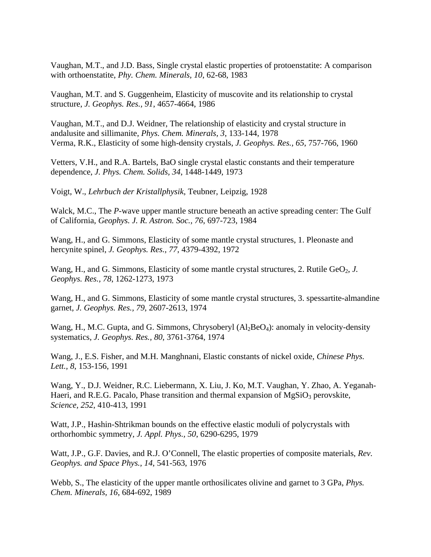Vaughan, M.T., and J.D. Bass, Single crystal elastic properties of protoenstatite: A comparison with orthoenstatite, *Phy. Chem. Minerals, 10*, 62-68, 1983

Vaughan, M.T. and S. Guggenheim, Elasticity of muscovite and its relationship to crystal structure, *J. Geophys. Res., 91*, 4657-4664, 1986

Vaughan, M.T., and D.J. Weidner, The relationship of elasticity and crystal structure in andalusite and sillimanite, *Phys. Chem. Minerals, 3*, 133-144, 1978 Verma, R.K., Elasticity of some high-density crystals, *J. Geophys. Res., 65*, 757-766, 1960

Vetters, V.H., and R.A. Bartels, BaO single crystal elastic constants and their temperature dependence, *J. Phys. Chem. Solids, 34*, 1448-1449, 1973

Voigt, W., *Lehrbuch der Kristallphysik*, Teubner, Leipzig, 1928

Walck, M.C., The *P*-wave upper mantle structure beneath an active spreading center: The Gulf of California, *Geophys. J. R. Astron. Soc., 76*, 697-723, 1984

Wang, H., and G. Simmons, Elasticity of some mantle crystal structures, 1. Pleonaste and hercynite spinel, *J. Geophys. Res., 77*, 4379-4392, 1972

Wang, H., and G. Simmons, Elasticity of some mantle crystal structures, 2. Rutile GeO<sub>2</sub>, *J. Geophys. Res., 78*, 1262-1273, 1973

Wang, H., and G. Simmons, Elasticity of some mantle crystal structures, 3. spessartite-almandine garnet, *J. Geophys. Res., 79*, 2607-2613, 1974

Wang, H., M.C. Gupta, and G. Simmons, Chrysoberyl  $(A_2BeO_4)$ : anomaly in velocity-density systematics, *J. Geophys. Res., 80*, 3761-3764, 1974

Wang, J., E.S. Fisher, and M.H. Manghnani, Elastic constants of nickel oxide, *Chinese Phys. Lett., 8*, 153-156, 1991

Wang, Y., D.J. Weidner, R.C. Liebermann, X. Liu, J. Ko, M.T. Vaughan, Y. Zhao, A. Yeganah-Haeri, and R.E.G. Pacalo, Phase transition and thermal expansion of  $MgSiO<sub>3</sub>$  perovskite, *Science, 252*, 410-413, 1991

Watt, J.P., Hashin-Shtrikman bounds on the effective elastic moduli of polycrystals with orthorhombic symmetry, *J. Appl. Phys., 50*, 6290-6295, 1979

Watt, J.P., G.F. Davies, and R.J. O'Connell, The elastic properties of composite materials, *Rev. Geophys. and Space Phys., 14*, 541-563, 1976

Webb, S., The elasticity of the upper mantle orthosilicates olivine and garnet to 3 GPa, *Phys. Chem. Minerals, 16*, 684-692, 1989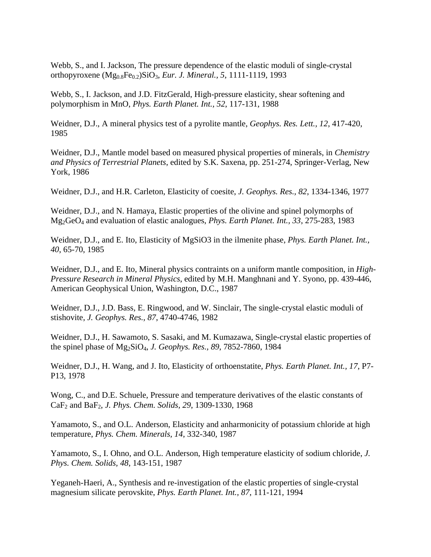Webb, S., and I. Jackson, The pressure dependence of the elastic moduli of single-crystal orthopyroxene (Mg0.8Fe0.2)SiO3, *Eur. J. Mineral., 5*, 1111-1119, 1993

Webb, S., I. Jackson, and J.D. FitzGerald, High-pressure elasticity, shear softening and polymorphism in MnO, *Phys. Earth Planet. Int., 52*, 117-131, 1988

Weidner, D.J., A mineral physics test of a pyrolite mantle, *Geophys. Res. Lett., 12*, 417-420, 1985

Weidner, D.J., Mantle model based on measured physical properties of minerals, in *Chemistry and Physics of Terrestrial Planets*, edited by S.K. Saxena, pp. 251-274, Springer-Verlag, New York, 1986

Weidner, D.J., and H.R. Carleton, Elasticity of coesite, *J. Geophys. Res., 82*, 1334-1346, 1977

Weidner, D.J., and N. Hamaya, Elastic properties of the olivine and spinel polymorphs of Mg2GeO4 and evaluation of elastic analogues, *Phys. Earth Planet. Int., 33*, 275-283, 1983

Weidner, D.J., and E. Ito, Elasticity of MgSiO3 in the ilmenite phase, *Phys. Earth Planet. Int., 40*, 65-70, 1985

Weidner, D.J., and E. Ito, Mineral physics contraints on a uniform mantle composition, in *High-Pressure Research in Mineral Physics*, edited by M.H. Manghnani and Y. Syono, pp. 439-446, American Geophysical Union, Washington, D.C., 1987

Weidner, D.J., J.D. Bass, E. Ringwood, and W. Sinclair, The single-crystal elastic moduli of stishovite, *J. Geophys. Res., 87*, 4740-4746, 1982

Weidner, D.J., H. Sawamoto, S. Sasaki, and M. Kumazawa, Single-crystal elastic properties of the spinel phase of Mg2SiO4, *J. Geophys. Res., 89*, 7852-7860, 1984

Weidner, D.J., H. Wang, and J. Ito, Elasticity of orthoenstatite, *Phys. Earth Planet. Int., 17*, P7- P13, 1978

Wong, C., and D.E. Schuele, Pressure and temperature derivatives of the elastic constants of CaF2 and BaF2, *J. Phys. Chem. Solids, 29*, 1309-1330, 1968

Yamamoto, S., and O.L. Anderson, Elasticity and anharmonicity of potassium chloride at high temperature, *Phys. Chem. Minerals, 14*, 332-340, 1987

Yamamoto, S., I. Ohno, and O.L. Anderson, High temperature elasticity of sodium chloride, *J. Phys. Chem. Solids, 48*, 143-151, 1987

Yeganeh-Haeri, A., Synthesis and re-investigation of the elastic properties of single-crystal magnesium silicate perovskite, *Phys. Earth Planet. Int., 87*, 111-121, 1994